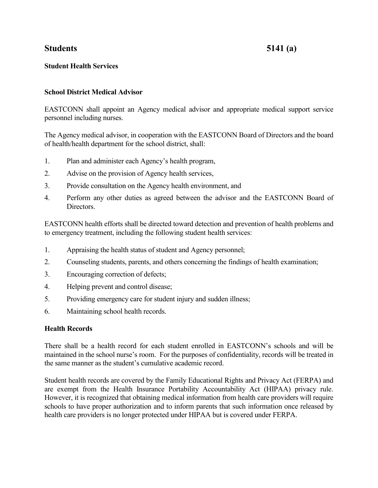# **Students 5141 (a)**

# **Student Health Services**

## **School District Medical Advisor**

EASTCONN shall appoint an Agency medical advisor and appropriate medical support service personnel including nurses.

The Agency medical advisor, in cooperation with the EASTCONN Board of Directors and the board of health/health department for the school district, shall:

- 1. Plan and administer each Agency's health program,
- 2. Advise on the provision of Agency health services,
- 3. Provide consultation on the Agency health environment, and
- 4. Perform any other duties as agreed between the advisor and the EASTCONN Board of Directors.

EASTCONN health efforts shall be directed toward detection and prevention of health problems and to emergency treatment, including the following student health services:

- 1. Appraising the health status of student and Agency personnel;
- 2. Counseling students, parents, and others concerning the findings of health examination;
- 3. Encouraging correction of defects;
- 4. Helping prevent and control disease;
- 5. Providing emergency care for student injury and sudden illness;
- 6. Maintaining school health records.

## **Health Records**

There shall be a health record for each student enrolled in EASTCONN's schools and will be maintained in the school nurse's room. For the purposes of confidentiality, records will be treated in the same manner as the student's cumulative academic record.

Student health records are covered by the Family Educational Rights and Privacy Act (FERPA) and are exempt from the Health Insurance Portability Accountability Act (HIPAA) privacy rule. However, it is recognized that obtaining medical information from health care providers will require schools to have proper authorization and to inform parents that such information once released by health care providers is no longer protected under HIPAA but is covered under FERPA.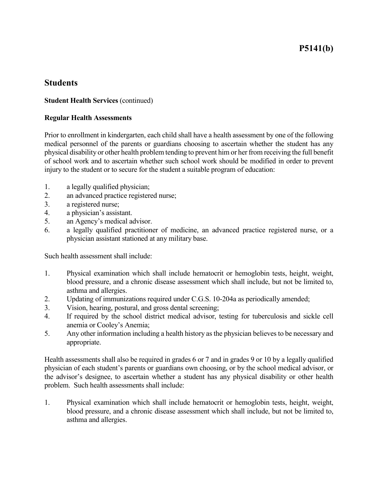# **P5141(b)**

# **Students**

#### **Student Health Services** (continued)

#### **Regular Health Assessments**

Prior to enrollment in kindergarten, each child shall have a health assessment by one of the following medical personnel of the parents or guardians choosing to ascertain whether the student has any physical disability or other health problem tending to prevent him or her from receiving the full benefit of school work and to ascertain whether such school work should be modified in order to prevent injury to the student or to secure for the student a suitable program of education:

- 1. a legally qualified physician;
- 2. an advanced practice registered nurse;
- 3. a registered nurse;
- 4. a physician's assistant.
- 5. an Agency's medical advisor.
- 6. a legally qualified practitioner of medicine, an advanced practice registered nurse, or a physician assistant stationed at any military base.

Such health assessment shall include:

- 1. Physical examination which shall include hematocrit or hemoglobin tests, height, weight, blood pressure, and a chronic disease assessment which shall include, but not be limited to, asthma and allergies.
- 2. Updating of immunizations required under C.G.S. 10-204a as periodically amended;
- 3. Vision, hearing, postural, and gross dental screening;
- 4. If required by the school district medical advisor, testing for tuberculosis and sickle cell anemia or Cooley's Anemia;
- 5. Any other information including a health history as the physician believes to be necessary and appropriate.

Health assessments shall also be required in grades 6 or 7 and in grades 9 or 10 by a legally qualified physician of each student's parents or guardians own choosing, or by the school medical advisor, or the advisor's designee, to ascertain whether a student has any physical disability or other health problem. Such health assessments shall include:

1. Physical examination which shall include hematocrit or hemoglobin tests, height, weight, blood pressure, and a chronic disease assessment which shall include, but not be limited to, asthma and allergies.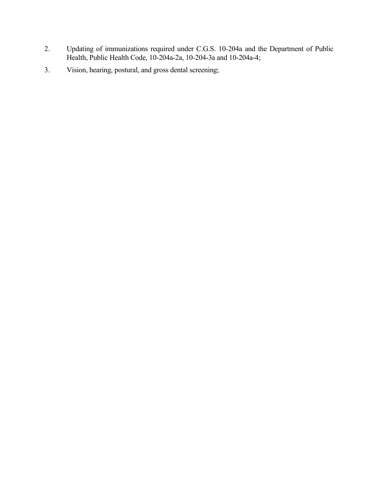- 2. Updating of immunizations required under C.G.S. 10-204a and the Department of Public Health, Public Health Code, 10-204a-2a, 10-204-3a and 10-204a-4;
- 3. Vision, hearing, postural, and gross dental screening;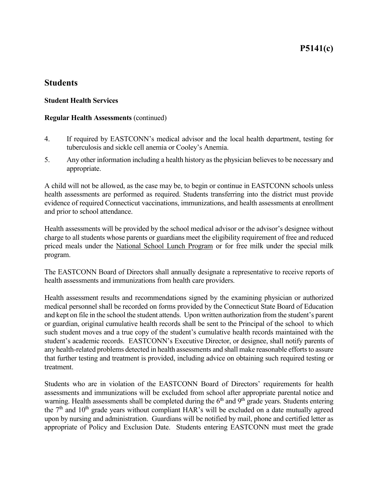**P5141(c)**

# **Students**

#### **Student Health Services**

#### **Regular Health Assessments** (continued)

- 4. If required by EASTCONN's medical advisor and the local health department, testing for tuberculosis and sickle cell anemia or Cooley's Anemia.
- 5. Any other information including a health history as the physician believes to be necessary and appropriate.

A child will not be allowed, as the case may be, to begin or continue in EASTCONN schools unless health assessments are performed as required. Students transferring into the district must provide evidence of required Connecticut vaccinations, immunizations, and health assessments at enrollment and prior to school attendance.

Health assessments will be provided by the school medical advisor or the advisor's designee without charge to all students whose parents or guardians meet the eligibility requirement of free and reduced priced meals under the National School Lunch Program or for free milk under the special milk program.

The EASTCONN Board of Directors shall annually designate a representative to receive reports of health assessments and immunizations from health care providers.

Health assessment results and recommendations signed by the examining physician or authorized medical personnel shall be recorded on forms provided by the Connecticut State Board of Education and kept on file in the school the student attends. Upon written authorization from the student's parent or guardian, original cumulative health records shall be sent to the Principal of the school to which such student moves and a true copy of the student's cumulative health records maintained with the student's academic records. EASTCONN's Executive Director, or designee, shall notify parents of any health-related problems detected in health assessments and shall make reasonable efforts to assure that further testing and treatment is provided, including advice on obtaining such required testing or treatment.

Students who are in violation of the EASTCONN Board of Directors' requirements for health assessments and immunizations will be excluded from school after appropriate parental notice and warning. Health assessments shall be completed during the  $6<sup>th</sup>$  and  $9<sup>th</sup>$  grade years. Students entering the  $7<sup>th</sup>$  and  $10<sup>th</sup>$  grade years without compliant HAR's will be excluded on a date mutually agreed upon by nursing and administration. Guardians will be notified by mail, phone and certified letter as appropriate of Policy and Exclusion Date. Students entering EASTCONN must meet the grade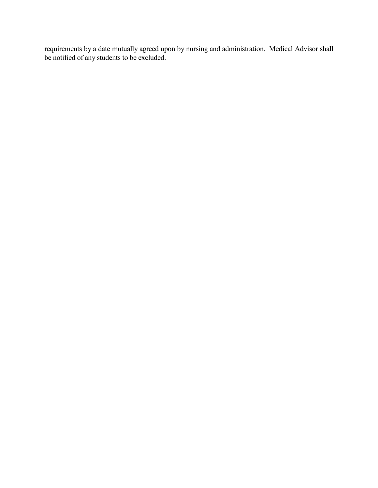requirements by a date mutually agreed upon by nursing and administration. Medical Advisor shall be notified of any students to be excluded.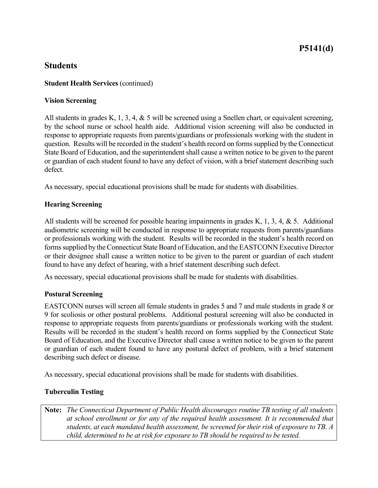# **P5141(d)**

# **Students**

### **Student Health Services** (continued)

#### **Vision Screening**

All students in grades K, 1, 3, 4, & 5 will be screened using a Snellen chart, or equivalent screening, by the school nurse or school health aide. Additional vision screening will also be conducted in response to appropriate requests from parents/guardians or professionals working with the student in question. Results will be recorded in the student's health record on forms supplied by the Connecticut State Board of Education, and the superintendent shall cause a written notice to be given to the parent or guardian of each student found to have any defect of vision, with a brief statement describing such defect.

As necessary, special educational provisions shall be made for students with disabilities.

#### **Hearing Screening**

All students will be screened for possible hearing impairments in grades K, 1, 3, 4, & 5. Additional audiometric screening will be conducted in response to appropriate requests from parents/guardians or professionals working with the student. Results will be recorded in the student's health record on forms supplied by the Connecticut State Board of Education, and the EASTCONN Executive Director or their designee shall cause a written notice to be given to the parent or guardian of each student found to have any defect of hearing, with a brief statement describing such defect.

As necessary, special educational provisions shall be made for students with disabilities.

## **Postural Screening**

EASTCONN nurses will screen all female students in grades 5 and 7 and male students in grade 8 or 9 for scoliosis or other postural problems. Additional postural screening will also be conducted in response to appropriate requests from parents/guardians or professionals working with the student. Results will be recorded in the student's health record on forms supplied by the Connecticut State Board of Education, and the Executive Director shall cause a written notice to be given to the parent or guardian of each student found to have any postural defect of problem, with a brief statement describing such defect or disease.

As necessary, special educational provisions shall be made for students with disabilities.

## **Tuberculin Testing**

**Note:** *The Connecticut Department of Public Health discourages routine TB testing of all students at school enrollment or for any of the required health assessment. It is recommended that students, at each mandated health assessment, be screened for their risk of exposure to TB. A child, determined to be at risk for exposure to TB should be required to be tested.*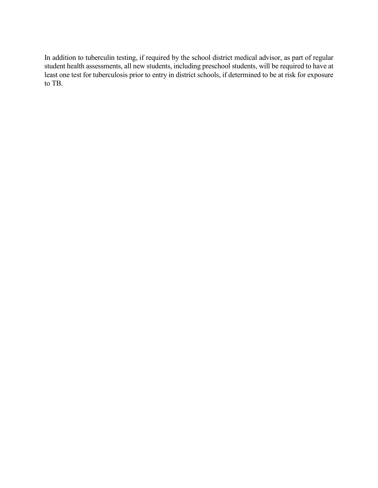In addition to tuberculin testing, if required by the school district medical advisor, as part of regular student health assessments, all new students, including preschool students, will be required to have at least one test for tuberculosis prior to entry in district schools, if determined to be at risk for exposure to TB.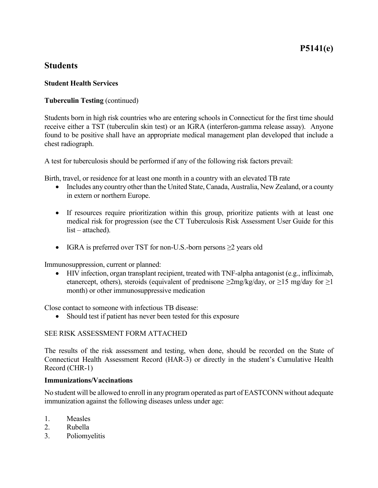# **P5141(e)**

# **Students**

#### **Student Health Services**

## **Tuberculin Testing** (continued)

Students born in high risk countries who are entering schools in Connecticut for the first time should receive either a TST (tuberculin skin test) or an IGRA (interferon-gamma release assay). Anyone found to be positive shall have an appropriate medical management plan developed that include a chest radiograph.

A test for tuberculosis should be performed if any of the following risk factors prevail:

Birth, travel, or residence for at least one month in a country with an elevated TB rate

- Includes any country other than the United State, Canada, Australia, New Zealand, or a county in extern or northern Europe.
- If resources require prioritization within this group, prioritize patients with at least one medical risk for progression (see the CT Tuberculosis Risk Assessment User Guide for this list – attached).
- IGRA is preferred over TST for non-U.S.-born persons  $\geq 2$  years old

Immunosuppression, current or planned:

• HIV infection, organ transplant recipient, treated with TNF-alpha antagonist (e.g., infliximab, etanercept, others), steroids (equivalent of prednisone  $\geq 2mg/kg/day$ , or  $\geq 15$  mg/day for  $\geq 1$ month) or other immunosuppressive medication

Close contact to someone with infectious TB disease:

• Should test if patient has never been tested for this exposure

## SEE RISK ASSESSMENT FORM ATTACHED

The results of the risk assessment and testing, when done, should be recorded on the State of Connecticut Health Assessment Record (HAR-3) or directly in the student's Cumulative Health Record (CHR-1)

#### **Immunizations/Vaccinations**

No student will be allowed to enroll in any program operated as part of EASTCONN without adequate immunization against the following diseases unless under age:

- 1. Measles
- 2. Rubella
- 3. Poliomyelitis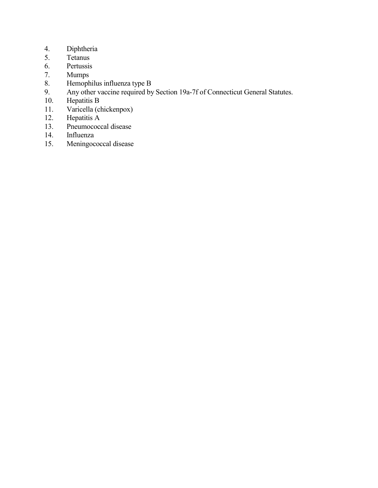- 4. Diphtheria<br>5. Tetanus
- Tetanus
- 6. Pertussis<br>7. Mumps
- **Mumps**
- 8. Hemophilus influenza type B<br>9. Any other vaccine required by
- 9. Any other vaccine required by Section 19a-7f of Connecticut General Statutes.<br>10. Hepatitis B
- Hepatitis B
- 11. Varicella (chickenpox)
- 12. Hepatitis A
- 13. Pneumococcal disease
- 14. Influenza<br>15. Meningoco
- Meningococcal disease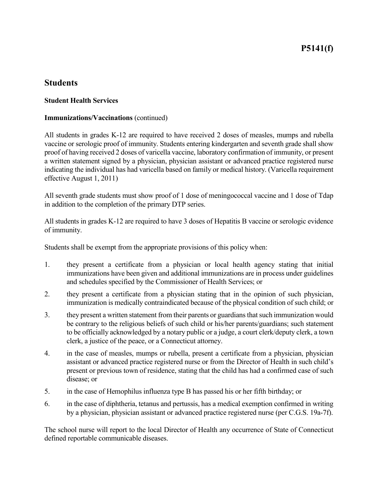# **P5141(f)**

# **Students**

#### **Student Health Services**

#### **Immunizations/Vaccinations** (continued)

All students in grades K-12 are required to have received 2 doses of measles, mumps and rubella vaccine or serologic proof of immunity. Students entering kindergarten and seventh grade shall show proof of having received 2 doses of varicella vaccine, laboratory confirmation of immunity, or present a written statement signed by a physician, physician assistant or advanced practice registered nurse indicating the individual has had varicella based on family or medical history. (Varicella requirement effective August 1, 2011)

All seventh grade students must show proof of 1 dose of meningococcal vaccine and 1 dose of Tdap in addition to the completion of the primary DTP series.

All students in grades K-12 are required to have 3 doses of Hepatitis B vaccine or serologic evidence of immunity.

Students shall be exempt from the appropriate provisions of this policy when:

- 1. they present a certificate from a physician or local health agency stating that initial immunizations have been given and additional immunizations are in process under guidelines and schedules specified by the Commissioner of Health Services; or
- 2. they present a certificate from a physician stating that in the opinion of such physician, immunization is medically contraindicated because of the physical condition of such child; or
- 3. they present a written statement from their parents or guardians that such immunization would be contrary to the religious beliefs of such child or his/her parents/guardians; such statement to be officially acknowledged by a notary public or a judge, a court clerk/deputy clerk, a town clerk, a justice of the peace, or a Connecticut attorney.
- 4. in the case of measles, mumps or rubella, present a certificate from a physician, physician assistant or advanced practice registered nurse or from the Director of Health in such child's present or previous town of residence, stating that the child has had a confirmed case of such disease; or
- 5. in the case of Hemophilus influenza type B has passed his or her fifth birthday; or
- 6. in the case of diphtheria, tetanus and pertussis, has a medical exemption confirmed in writing by a physician, physician assistant or advanced practice registered nurse (per C.G.S. 19a-7f).

The school nurse will report to the local Director of Health any occurrence of State of Connecticut defined reportable communicable diseases.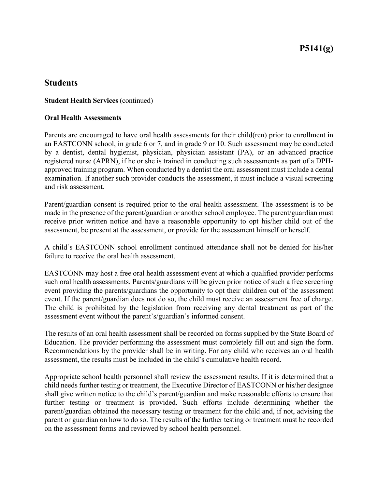# **P5141(g)**

## **Students**

#### **Student Health Services** (continued)

#### **Oral Health Assessments**

Parents are encouraged to have oral health assessments for their child(ren) prior to enrollment in an EASTCONN school, in grade 6 or 7, and in grade 9 or 10. Such assessment may be conducted by a dentist, dental hygienist, physician, physician assistant (PA), or an advanced practice registered nurse (APRN), if he or she is trained in conducting such assessments as part of a DPHapproved training program. When conducted by a dentist the oral assessment must include a dental examination. If another such provider conducts the assessment, it must include a visual screening and risk assessment.

Parent/guardian consent is required prior to the oral health assessment. The assessment is to be made in the presence of the parent/guardian or another school employee. The parent/guardian must receive prior written notice and have a reasonable opportunity to opt his/her child out of the assessment, be present at the assessment, or provide for the assessment himself or herself.

A child's EASTCONN school enrollment continued attendance shall not be denied for his/her failure to receive the oral health assessment.

EASTCONN may host a free oral health assessment event at which a qualified provider performs such oral health assessments. Parents/guardians will be given prior notice of such a free screening event providing the parents/guardians the opportunity to opt their children out of the assessment event. If the parent/guardian does not do so, the child must receive an assessment free of charge. The child is prohibited by the legislation from receiving any dental treatment as part of the assessment event without the parent's/guardian's informed consent.

The results of an oral health assessment shall be recorded on forms supplied by the State Board of Education. The provider performing the assessment must completely fill out and sign the form. Recommendations by the provider shall be in writing. For any child who receives an oral health assessment, the results must be included in the child's cumulative health record.

Appropriate school health personnel shall review the assessment results. If it is determined that a child needs further testing or treatment, the Executive Director of EASTCONN or his/her designee shall give written notice to the child's parent/guardian and make reasonable efforts to ensure that further testing or treatment is provided. Such efforts include determining whether the parent/guardian obtained the necessary testing or treatment for the child and, if not, advising the parent or guardian on how to do so. The results of the further testing or treatment must be recorded on the assessment forms and reviewed by school health personnel.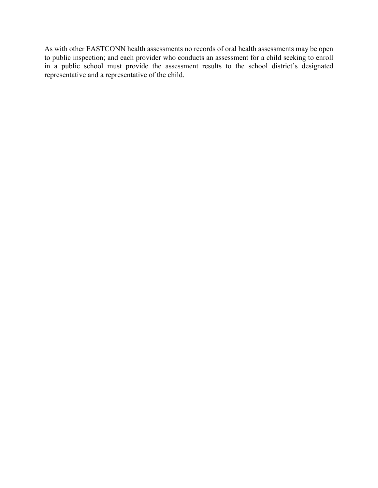As with other EASTCONN health assessments no records of oral health assessments may be open to public inspection; and each provider who conducts an assessment for a child seeking to enroll in a public school must provide the assessment results to the school district's designated representative and a representative of the child.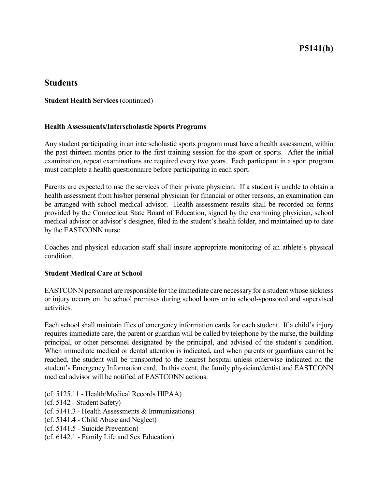# **P5141(h)**

## **Students**

#### **Student Health Services** (continued)

#### **Health Assessments/Interscholastic Sports Programs**

Any student participating in an interscholastic sports program must have a health assessment, within the past thirteen months prior to the first training session for the sport or sports. After the initial examination, repeat examinations are required every two years. Each participant in a sport program must complete a health questionnaire before participating in each sport.

Parents are expected to use the services of their private physician. If a student is unable to obtain a health assessment from his/her personal physician for financial or other reasons, an examination can be arranged with school medical advisor. Health assessment results shall be recorded on forms provided by the Connecticut State Board of Education, signed by the examining physician, school medical advisor or advisor's designee, filed in the student's health folder, and maintained up to date by the EASTCONN nurse.

Coaches and physical education staff shall insure appropriate monitoring of an athlete's physical condition.

#### **Student Medical Care at School**

EASTCONN personnel are responsible for the immediate care necessary for a student whose sickness or injury occurs on the school premises during school hours or in school-sponsored and supervised activities.

Each school shall maintain files of emergency information cards for each student. If a child's injury requires immediate care, the parent or guardian will be called by telephone by the nurse, the building principal, or other personnel designated by the principal, and advised of the student's condition. When immediate medical or dental attention is indicated, and when parents or guardians cannot be reached, the student will be transported to the nearest hospital unless otherwise indicated on the student's Emergency Information card. In this event, the family physician/dentist and EASTCONN medical advisor will be notified of EASTCONN actions.

(cf. 5125.11 - Health/Medical Records HIPAA)

(cf. 5142 - Student Safety)

(cf. 5141.3 - Health Assessments & Immunizations)

- (cf. 5141.4 Child Abuse and Neglect)
- (cf. 5141.5 Suicide Prevention)
- (cf. 6142.1 Family Life and Sex Education)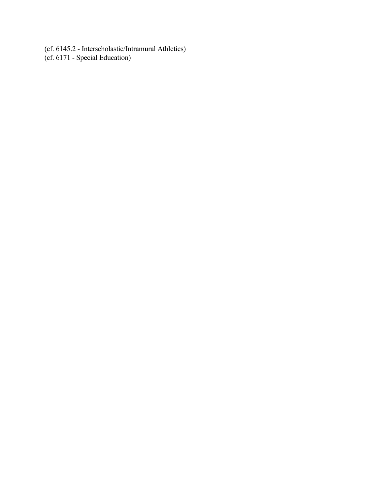(cf. 6145.2 - Interscholastic/Intramural Athletics) (cf. 6171 - Special Education)